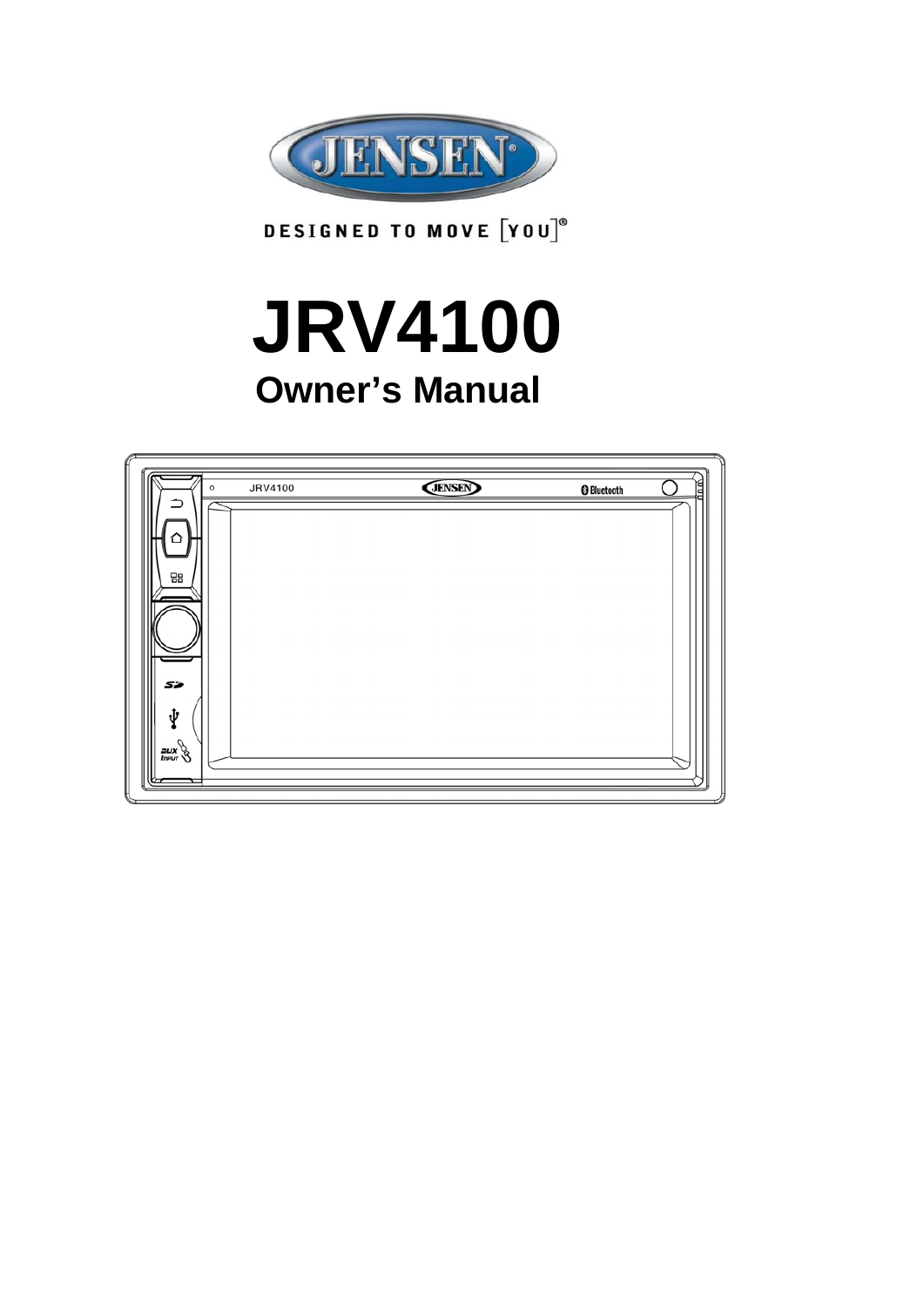

**DESIGNED TO MOVE [YOU]** 

# **JRV4100 Owner's Manual**

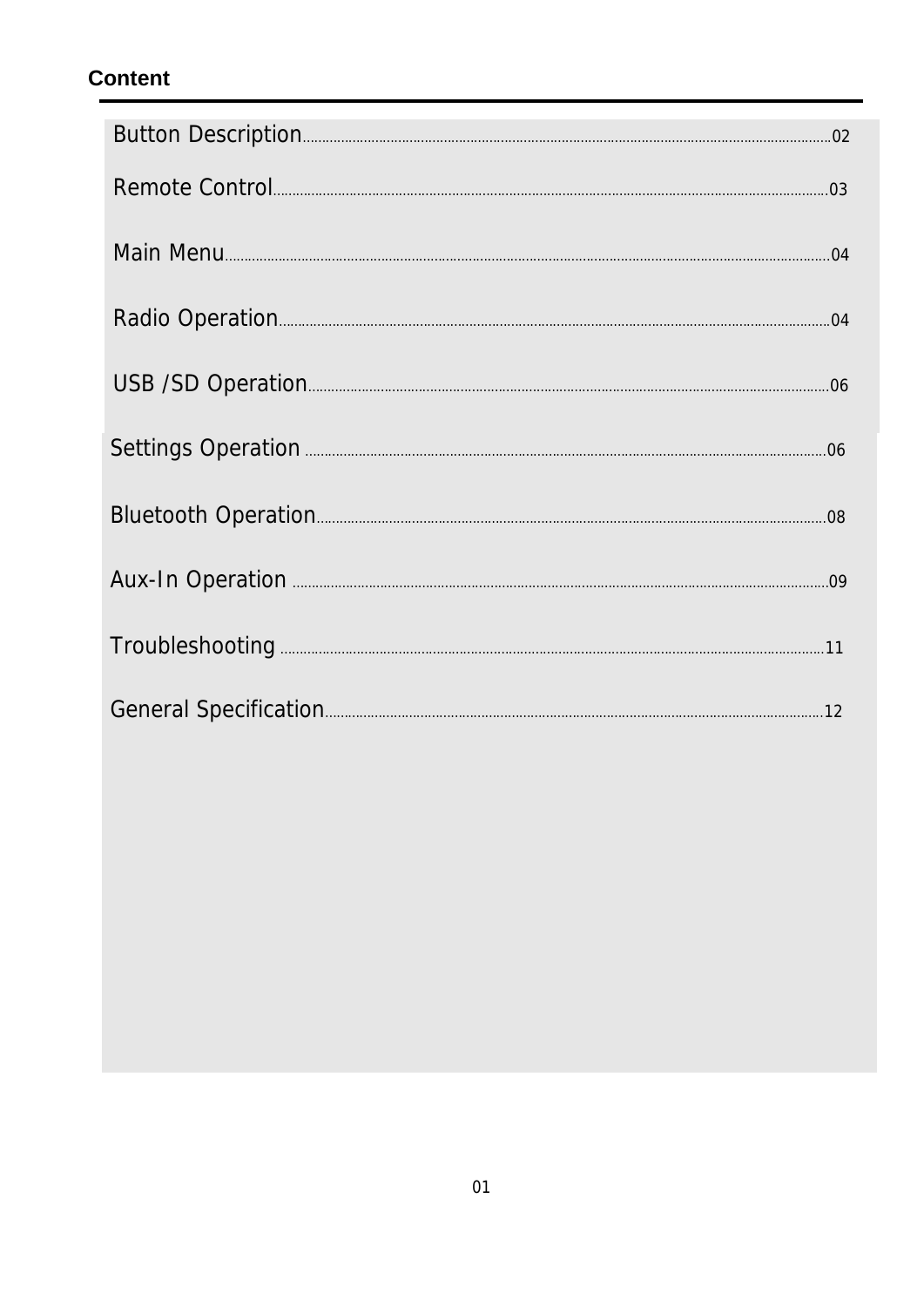# **Content**

| Radio Operation 04    |  |
|-----------------------|--|
|                       |  |
| Settings Operation    |  |
|                       |  |
| Aux-In Operation 2009 |  |
|                       |  |
|                       |  |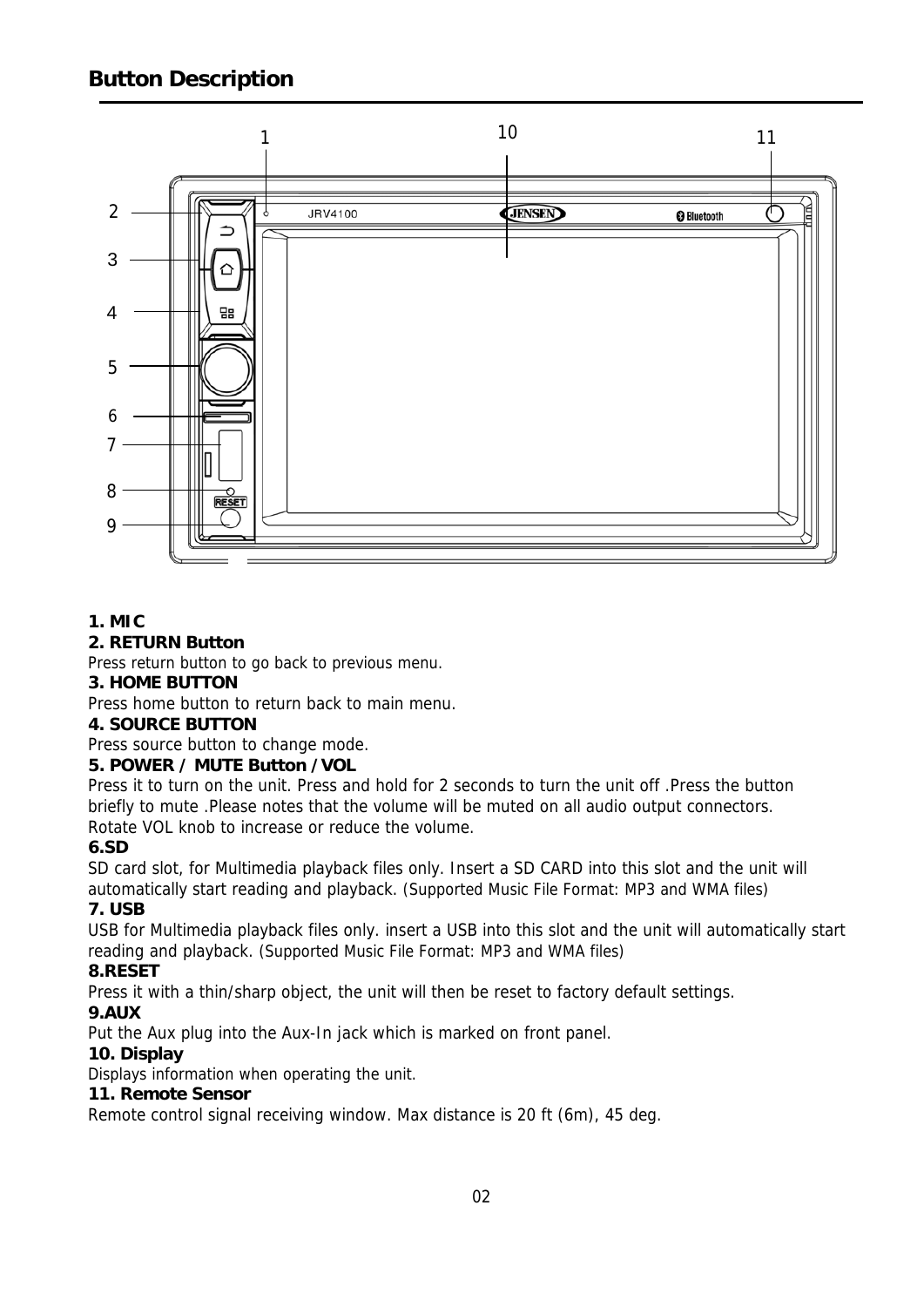

#### **1. MIC**

#### **2. RETURN Button**

Press return button to go back to previous menu.

#### **3. HOME BUTTON**

Press home button to return back to main menu.

#### **4. SOURCE BUTTON**

Press source button to change mode.

#### **5. POWER / MUTE Button /VOL**

Press it to turn on the unit. Press and hold for 2 seconds to turn the unit off .Press the button briefly to mute .Please notes that the volume will be muted on all audio output connectors. Rotate VOL knob to increase or reduce the volume.

#### **6.SD**

SD card slot, for Multimedia playback files only. Insert a SD CARD into this slot and the unit will automatically start reading and playback. (Supported Music File Format: MP3 and WMA files)

#### **7. USB**

USB for Multimedia playback files only. insert a USB into this slot and the unit will automatically start reading and playback. (Supported Music File Format: MP3 and WMA files)

#### **8.RESET**

Press it with a thin/sharp object, the unit will then be reset to factory default settings.

#### **9.AUX**

Put the Aux plug into the Aux-In jack which is marked on front panel.

#### **10. Display**

Displays information when operating the unit.

#### **11. Remote Sensor**

Remote control signal receiving window. Max distance is 20 ft (6m), 45 deg.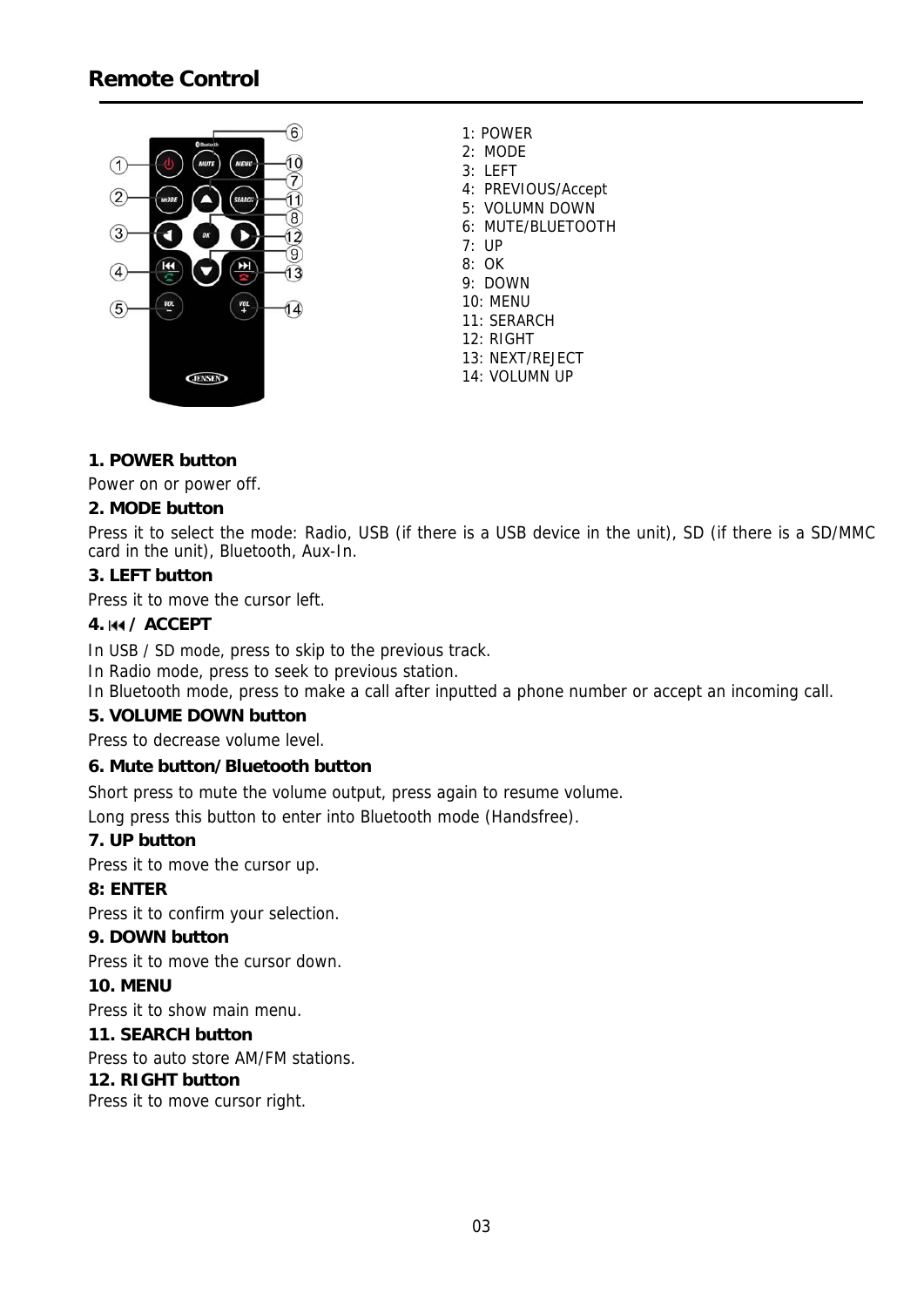# **Remote Control**



1: POWER 2: MODE 3: LEFT 4: PREVIOUS/Accept 5: VOLUMN DOWN 6: MUTE/BLUETOOTH 7: UP 8: OK 9: DOWN 10: MENU 11: SERARCH 12: RIGHT 13: NEXT/REJECT 14: VOLUMN UP

#### **1. POWER button**

Power on or power off.

#### **2. MODE button**

Press it to select the mode: Radio, USB (if there is a USB device in the unit), SD (if there is a SD/MMC card in the unit), Bluetooth, Aux-In.

#### **3. LEFT button**

Press it to move the cursor left.

#### **4. / ACCEPT**

In USB / SD mode, press to skip to the previous track.

In Radio mode, press to seek to previous station.

In Bluetooth mode, press to make a call after inputted a phone number or accept an incoming call.

#### **5. VOLUME DOWN button**

Press to decrease volume level.

#### **6. Mute button/Bluetooth button**

Short press to mute the volume output, press again to resume volume.

Long press this button to enter into Bluetooth mode (Handsfree).

#### **7. UP button**

Press it to move the cursor up.

#### **8: ENTER**

Press it to confirm your selection.

#### **9. DOWN button**

Press it to move the cursor down.

#### **10. MENU**

Press it to show main menu.

#### **11. SEARCH button**

Press to auto store AM/FM stations.

#### **12. RIGHT button**

Press it to move cursor right.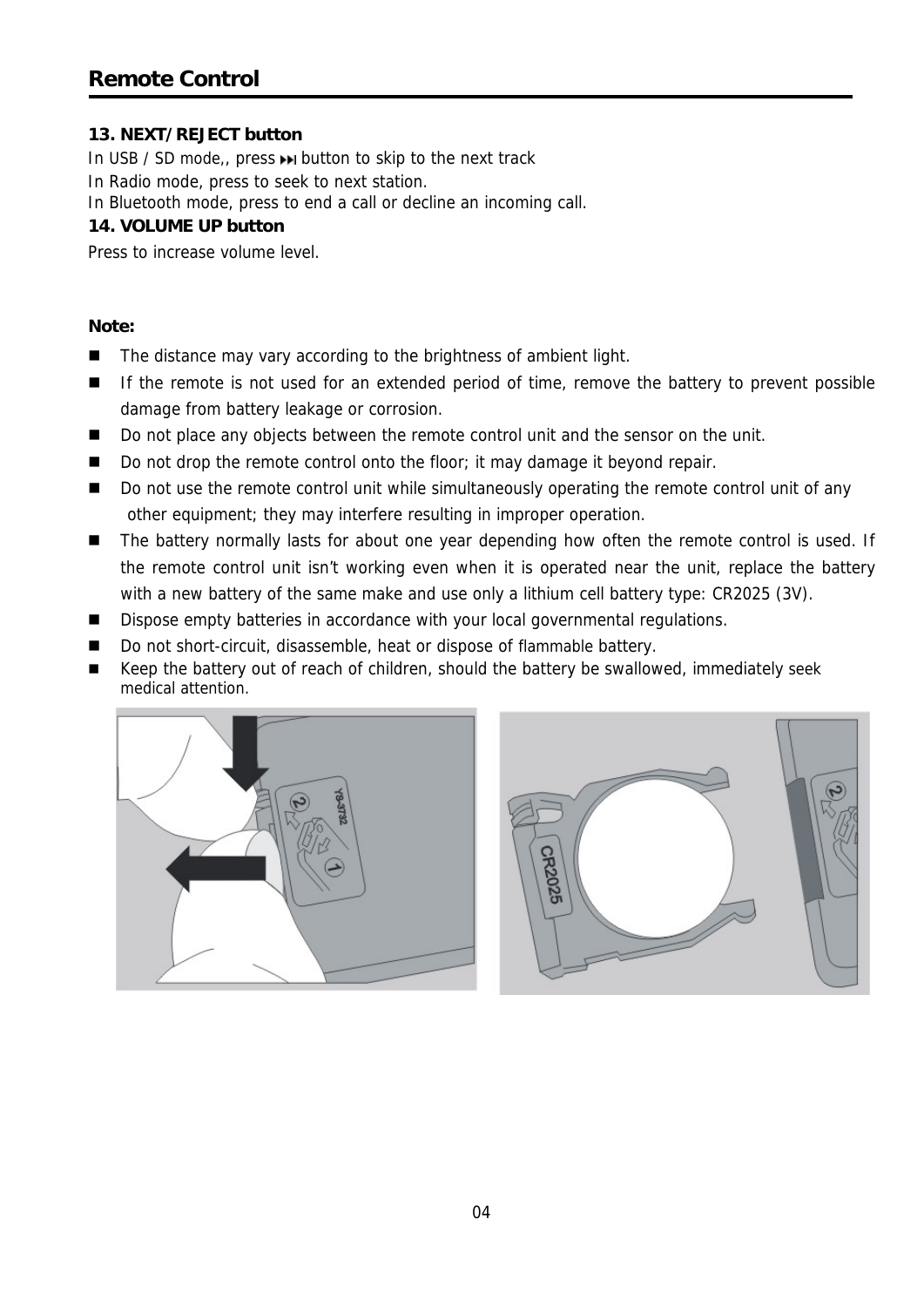#### **13. NEXT/REJECT button**

In USB / SD mode,, press  $\blacktriangleright$  button to skip to the next track

In Radio mode, press to seek to next station.

In Bluetooth mode, press to end a call or decline an incoming call.

#### **14. VOLUME UP button**

Press to increase volume level.

#### **Note:**

- The distance may vary according to the brightness of ambient light.
- If the remote is not used for an extended period of time, remove the battery to prevent possible damage from battery leakage or corrosion.
- Do not place any objects between the remote control unit and the sensor on the unit.
- Do not drop the remote control onto the floor; it may damage it beyond repair.
- Do not use the remote control unit while simultaneously operating the remote control unit of any other equipment; they may interfere resulting in improper operation.
- The battery normally lasts for about one year depending how often the remote control is used. If the remote control unit isn't working even when it is operated near the unit, replace the battery with a new battery of the same make and use only a lithium cell battery type: CR2025 (3V).
- Dispose empty batteries in accordance with your local governmental regulations.
- Do not short-circuit, disassemble, heat or dispose of flammable battery.
- Keep the battery out of reach of children, should the battery be swallowed, immediately seek medical attention.



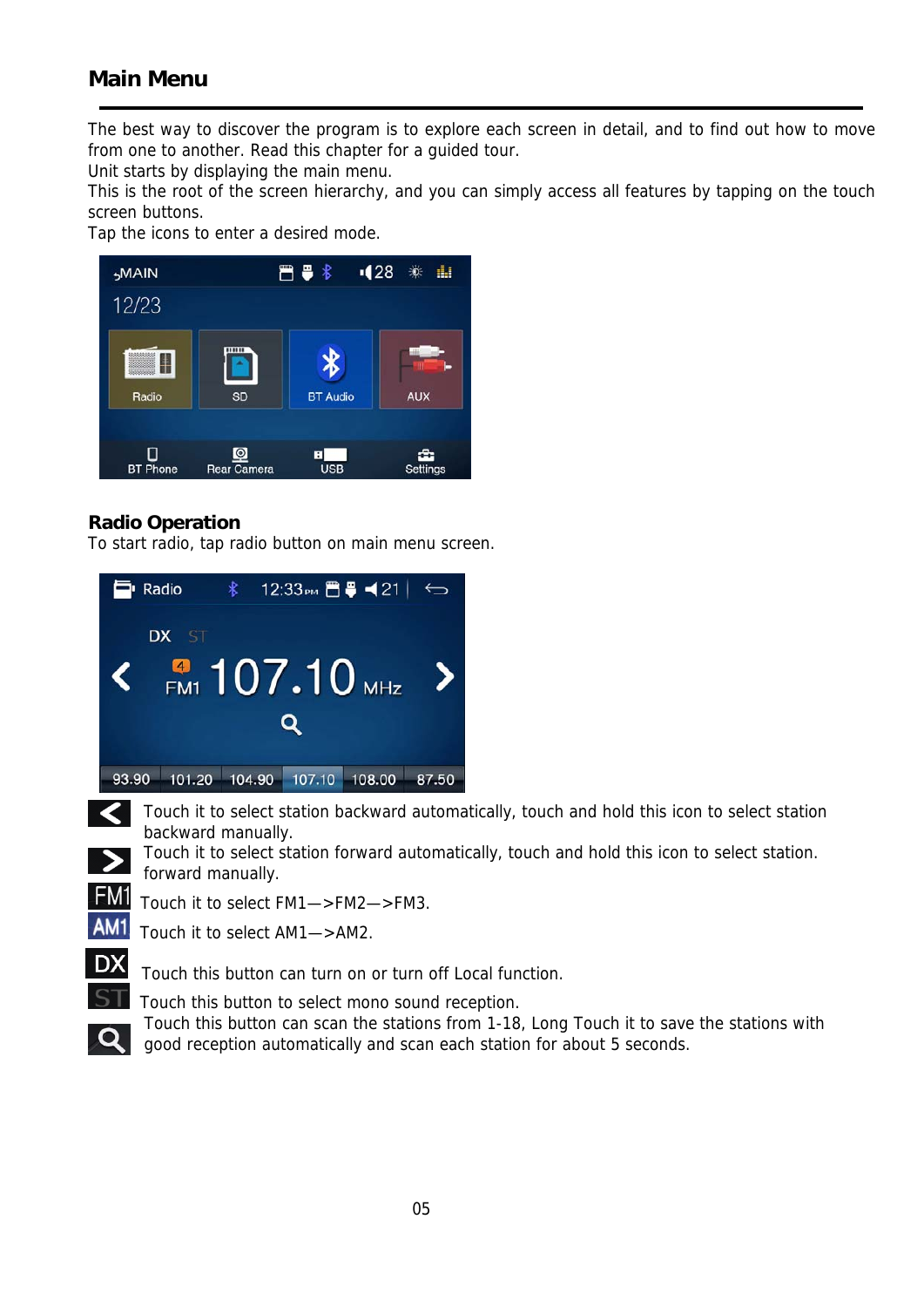# **Main Menu**

The best way to discover the program is to explore each screen in detail, and to find out how to move from one to another. Read this chapter for a guided tour.

Unit starts by displaying the main menu.

This is the root of the screen hierarchy, and you can simply access all features by tapping on the touch screen buttons.

Tap the icons to enter a desired mode.



#### **Radio Operation**

To start radio, tap radio button on main menu screen.



DХ

Q

Touch it to select station backward automatically, touch and hold this icon to select station backward manually.

Touch it to select station forward automatically, touch and hold this icon to select station. forward manually.

Touch it to select FM1—>FM2—>FM3.

Touch it to select AM1—>AM2.

Touch this button can turn on or turn off Local function.

Touch this button to select mono sound reception.

Touch this button can scan the stations from 1-18, Long Touch it to save the stations with good reception automatically and scan each station for about 5 seconds.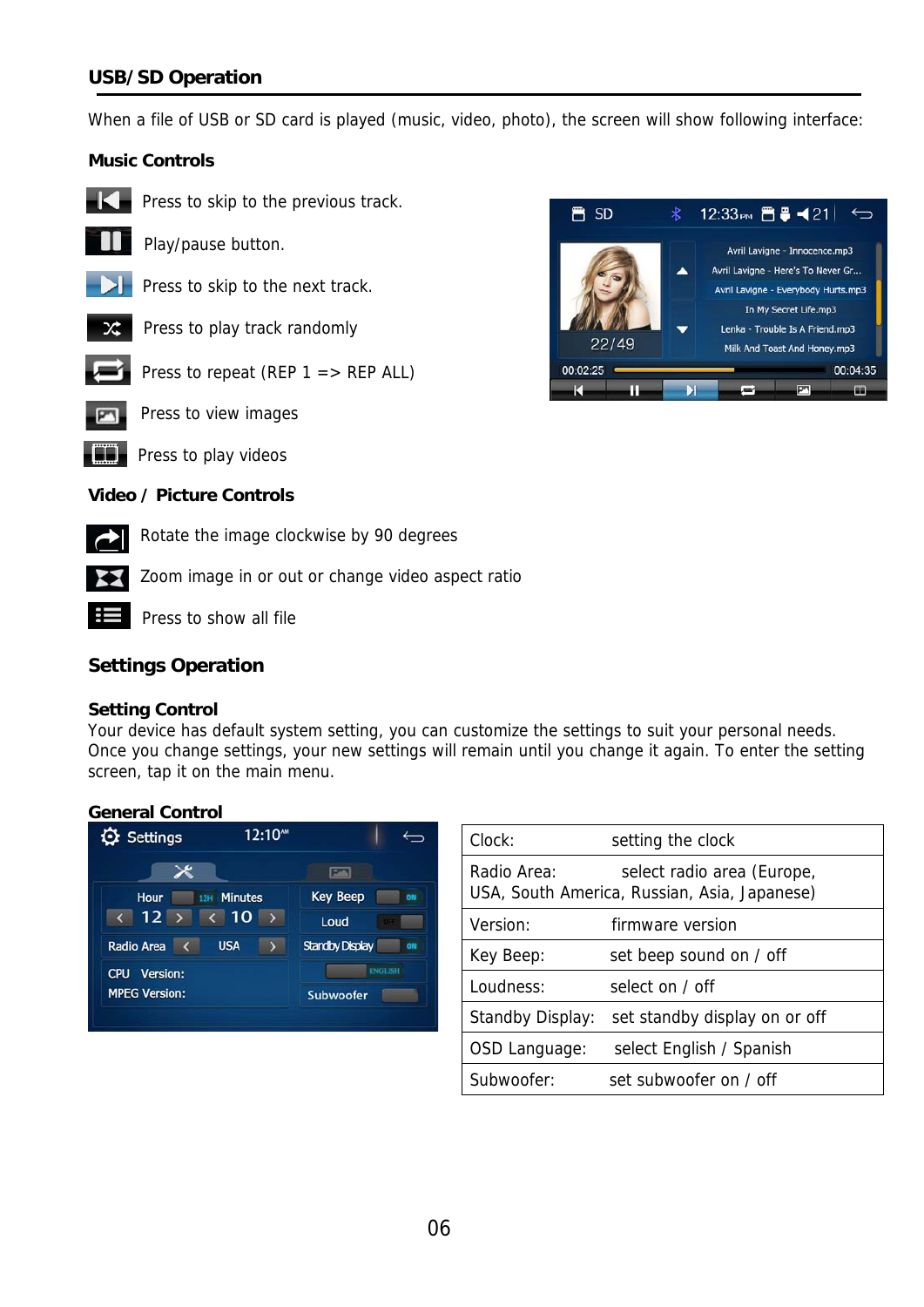#### **USB/SD Operation**

When a file of USB or SD card is played (music, video, photo), the screen will show following interface:

#### **Music Controls**



- $\blacksquare$  Press to skip to the previous track.
- 
- Play/pause button.
- Press to skip to the next track.

Press to play track randomly  $\propto$ 



Press to repeat (REP  $1 =$  > REP ALL)



Press to view images

Press to play videos

#### **Video / Picture Controls**



Rotate the image clockwise by 90 degrees



Zoom image in or out or change video aspect ratio



Press to show all file

#### **Settings Operation**

#### **Setting Control**

Your device has default system setting, you can customize the settings to suit your personal needs. Once you change settings, your new settings will remain until you change it again. To enter the setting screen, tap it on the main menu.

#### **General Control**



| Clock:           | setting the clock                                                          |
|------------------|----------------------------------------------------------------------------|
| Radio Area:      | select radio area (Europe,<br>USA, South America, Russian, Asia, Japanese) |
| Version:         | firmware version                                                           |
| Key Beep:        | set beep sound on / off                                                    |
| Loudness:        | select on / off                                                            |
| Standby Display: | set standby display on or off                                              |
| OSD Language:    | select English / Spanish                                                   |
| Subwoofer:       | set subwoofer on / off                                                     |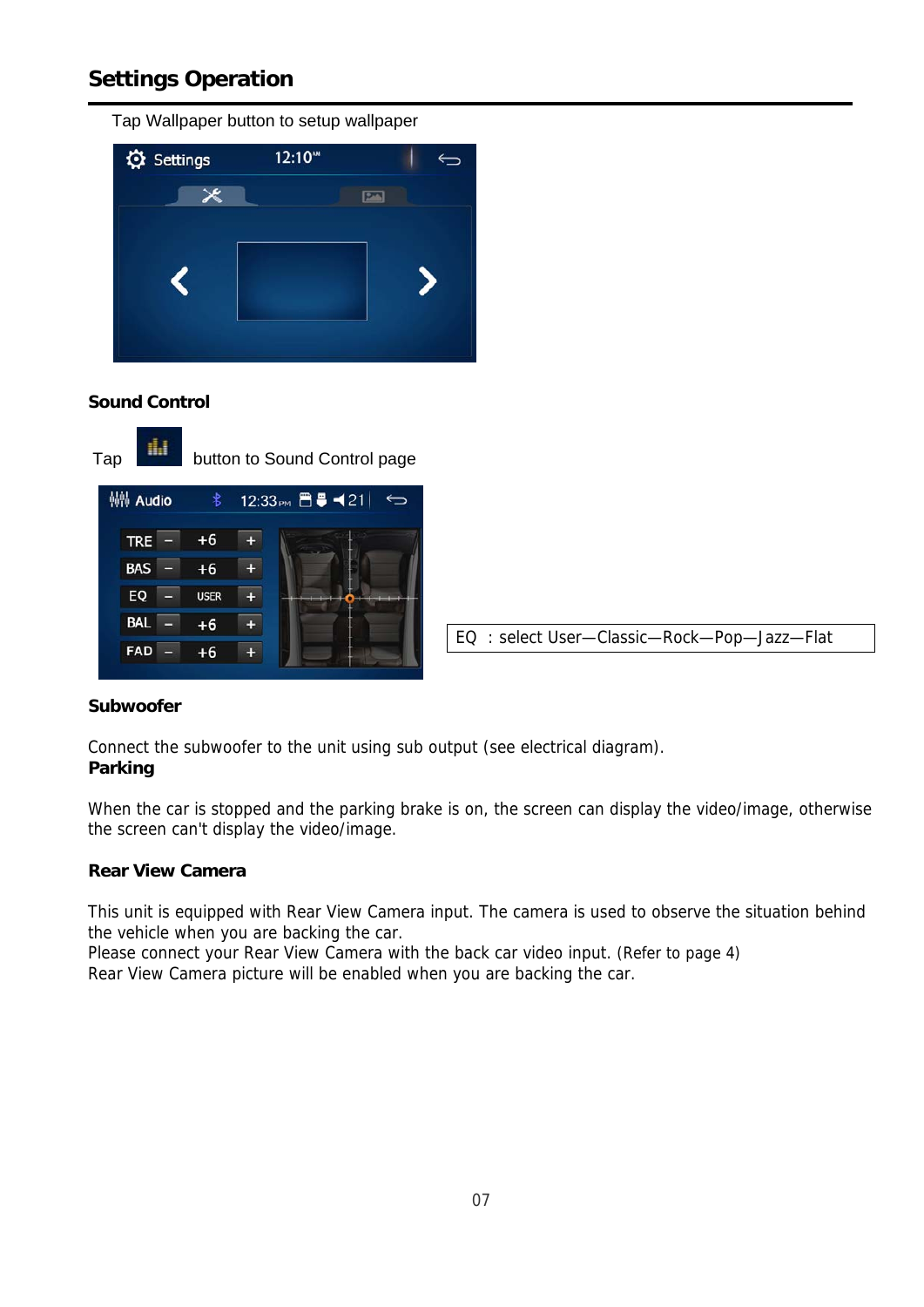# **Settings Operation**

Tap Wallpaper button to setup wallpaper



#### **Sound Control**

| Tap        |             | button to Sound Control page |
|------------|-------------|------------------------------|
| 轉 Audio    | *           | 12:33 PM □ ● 121<br>۳        |
| <b>TRE</b> | $+6$        |                              |
| <b>BAS</b> | $+6$        |                              |
| EQ         | <b>USER</b> |                              |
| <b>BAL</b> | $+6$        |                              |
| <b>FAD</b> | $+6$        |                              |
|            |             |                              |

| EQ: select User-Classic-Rock-Pop-Jazz-Flat |
|--------------------------------------------|

#### **Subwoofer**

Connect the subwoofer to the unit using sub output (see electrical diagram).

#### **Parking**

When the car is stopped and the parking brake is on, the screen can display the video/image, otherwise the screen can't display the video/image.

#### **Rear View Camera**

This unit is equipped with Rear View Camera input. The camera is used to observe the situation behind the vehicle when you are backing the car.

Please connect your Rear View Camera with the back car video input. (Refer to page 4) Rear View Camera picture will be enabled when you are backing the car.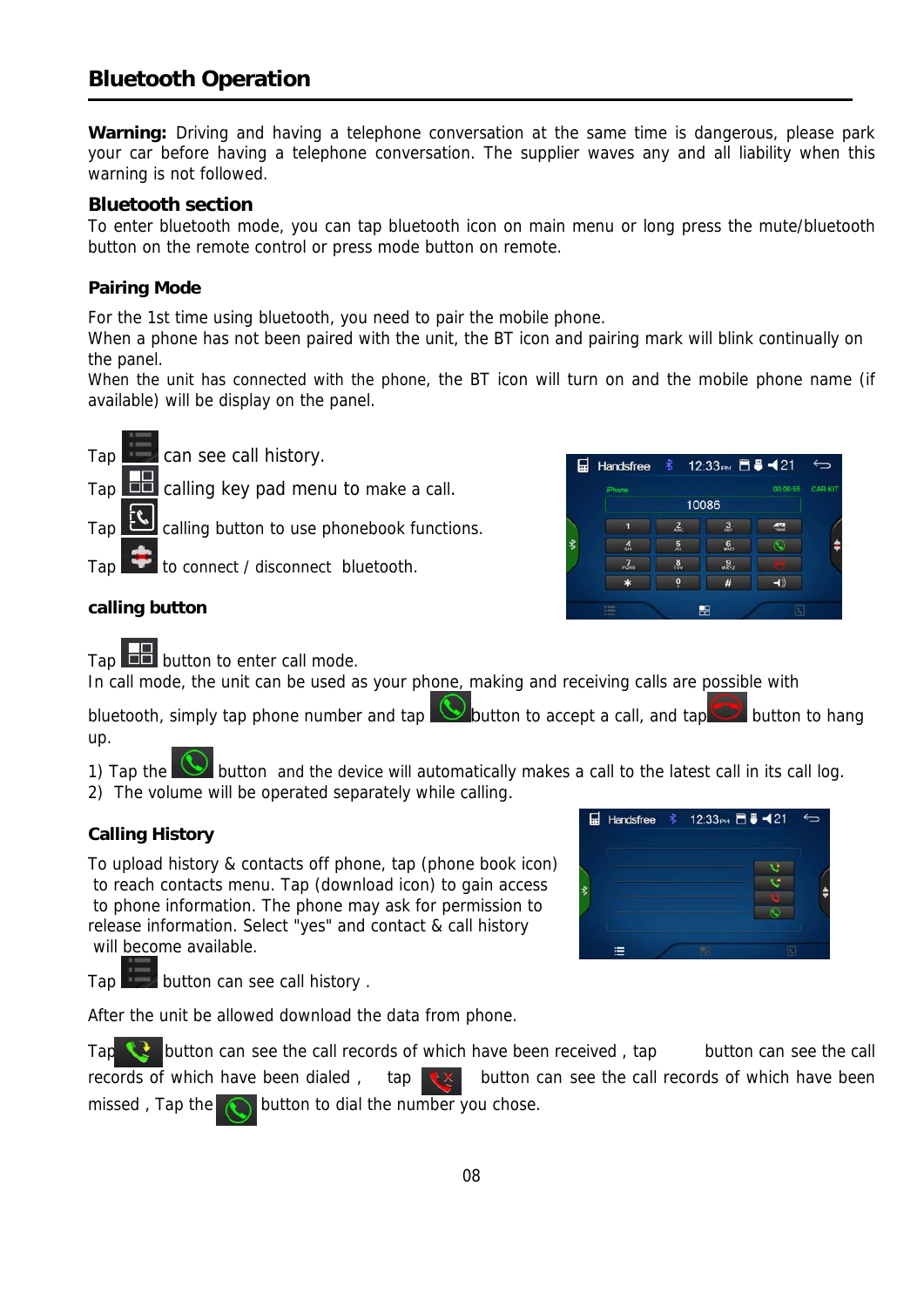## **Bluetooth Operation**

**Warning:** Driving and having a telephone conversation at the same time is dangerous, please park your car before having a telephone conversation. The supplier waves any and all liability when this warning is not followed.

#### **Bluetooth section**

To enter bluetooth mode, you can tap bluetooth icon on main menu or long press the mute/bluetooth button on the remote control or press mode button on remote.

#### **Pairing Mode**

For the 1st time using bluetooth, you need to pair the mobile phone.

When a phone has not been paired with the unit, the BT icon and pairing mark will blink continually on the panel.

When the unit has connected with the phone, the BT icon will turn on and the mobile phone name (if available) will be display on the panel.

日

Handsfree



Tap to connect / disconnect bluetooth.



CAR KI 10086  $\overline{2}$  $\frac{3}{2}$  $5\overline{)}$  $S<sub>0</sub>$  $\frac{8}{100}$  $\frac{9}{20000}$  $\frac{7}{\text{p}_\text{max}}$  $\ddot{\mathbf{0}}$  $#$  $-1)$ 

12:33 PM □ ● 121

Tap **button** to enter call mode.

In call mode, the unit can be used as your phone, making and receiving calls are possible with

bluetooth, simply tap phone number and tap **button** to accept a call, and tap button to hang up.

1) Tap the button and the device will automatically makes a call to the latest call in its call log.

2) The volume will be operated separately while calling.

#### **Calling History**

To upload history & contacts off phone, tap (phone book icon) to reach contacts menu. Tap (download icon) to gain access to phone information. The phone may ask for permission to release information. Select "yes" and contact & call history will become available.



Tap **button can see call history**.

After the unit be allowed download the data from phone.

Tap  $\mathbb{R}^2$  button can see the call records of which have been received, tap button can see the call records of which have been dialed , tap  $\mathcal{R}$  button can see the call records of which have been missed , Tap the  $\bigcirc$  button to dial the number you chose.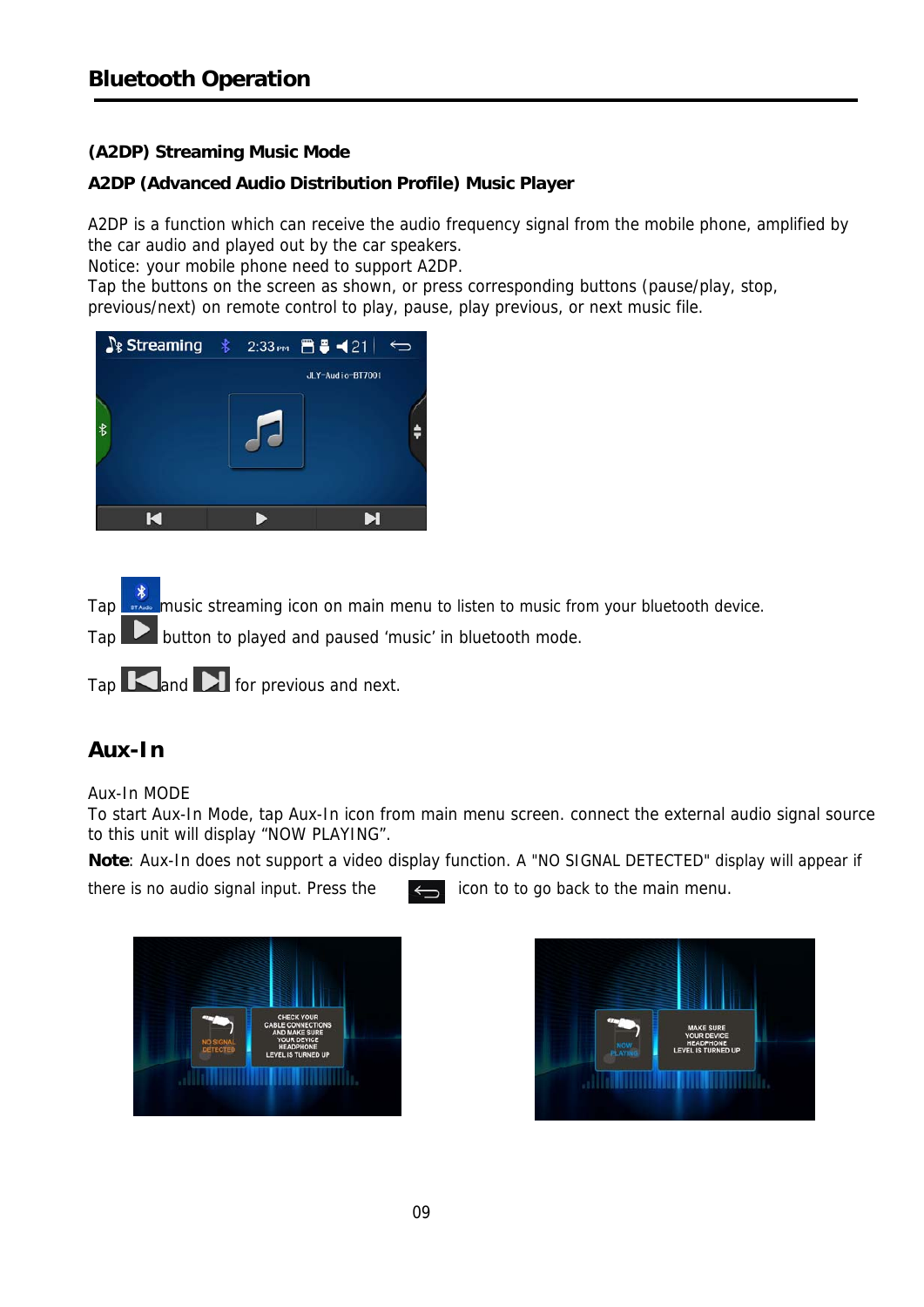#### **(A2DP) Streaming Music Mode**

#### **A2DP (Advanced Audio Distribution Profile) Music Player**

A2DP is a function which can receive the audio frequency signal from the mobile phone, amplified by the car audio and played out by the car speakers.

Notice: your mobile phone need to support A2DP.

Tap the buttons on the screen as shown, or press corresponding buttons (pause/play, stop, previous/next) on remote control to play, pause, play previous, or next music file.

| $\frac{1}{2}$ Streaming $\frac{1}{2}$ 2:33 $\frac{1}{2}$ $\frac{1}{2}$ $\frac{1}{2}$ $\frac{1}{2}$ $\frac{1}{2}$ |  |                  |  |
|------------------------------------------------------------------------------------------------------------------|--|------------------|--|
| $\frac{1}{\Phi}$                                                                                                 |  | JLY-Audio-BT7001 |  |
|                                                                                                                  |  |                  |  |
|                                                                                                                  |  |                  |  |

Tap music streaming icon on main menu to listen to music from your bluetooth device.

Tap **button to played and paused 'music' in bluetooth mode.** 

**HILLILL** 

 $Tap$   $\blacksquare$  and  $\blacksquare$  for previous and next.

### **Aux-In**

Aux-In MODE

To start Aux-In Mode, tap Aux-In icon from main menu screen. connect the external audio signal source to this unit will display "NOW PLAYING".

**Note**: Aux-In does not support a video display function. A "NO SIGNAL DETECTED" display will appear if

there is no audio signal input. Press the  $\leftarrow$  icon to to go back to the main menu.



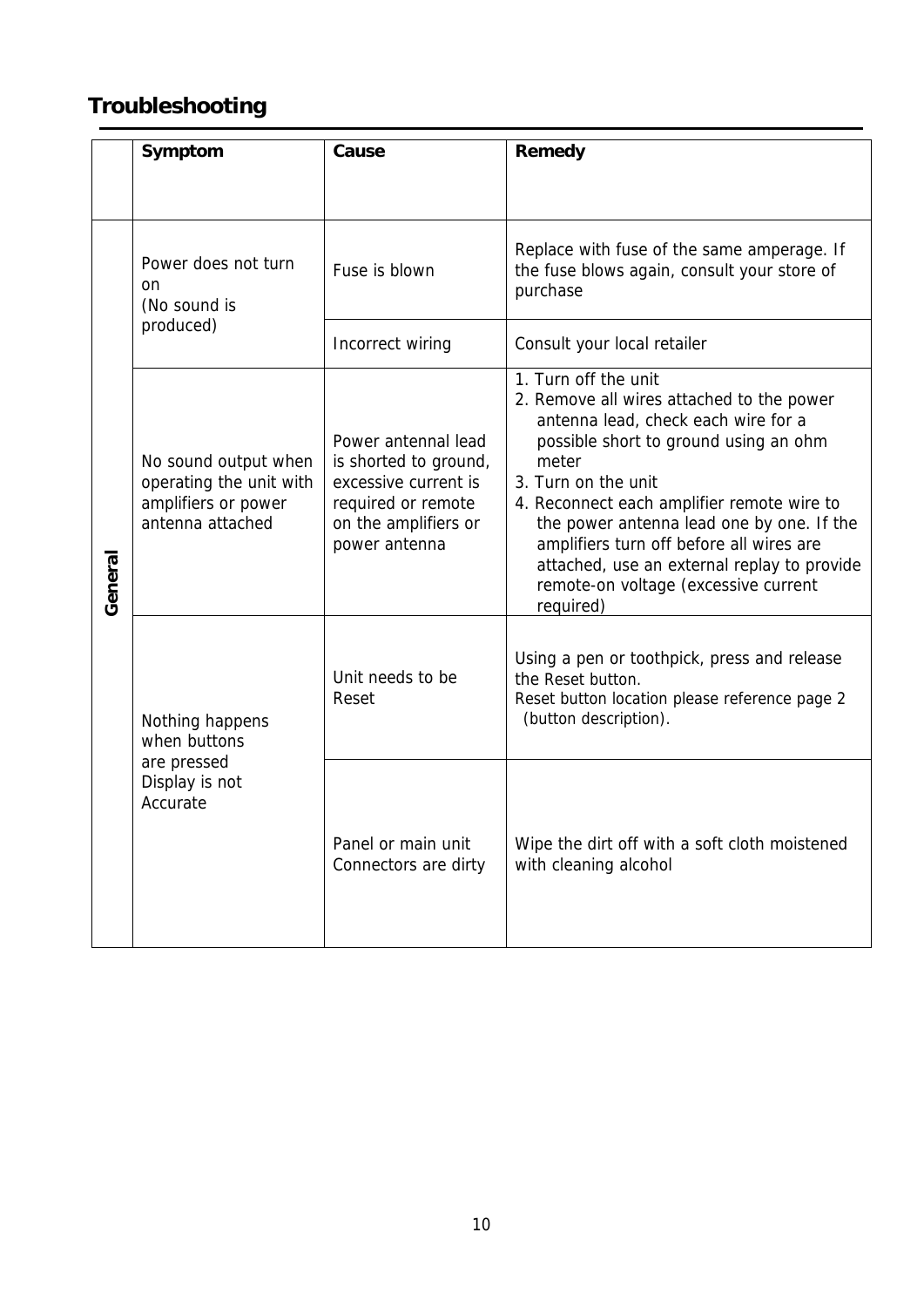# **Troubleshooting**

|         | Symptom                                                                                    | Cause                                                                                                                               | Remedy                                                                                                                                                                                                                                                                                                                                                                                                                       |
|---------|--------------------------------------------------------------------------------------------|-------------------------------------------------------------------------------------------------------------------------------------|------------------------------------------------------------------------------------------------------------------------------------------------------------------------------------------------------------------------------------------------------------------------------------------------------------------------------------------------------------------------------------------------------------------------------|
|         |                                                                                            |                                                                                                                                     |                                                                                                                                                                                                                                                                                                                                                                                                                              |
|         | Power does not turn<br>on<br>(No sound is                                                  | Fuse is blown                                                                                                                       | Replace with fuse of the same amperage. If<br>the fuse blows again, consult your store of<br>purchase                                                                                                                                                                                                                                                                                                                        |
|         | produced)                                                                                  | Incorrect wiring                                                                                                                    | Consult your local retailer                                                                                                                                                                                                                                                                                                                                                                                                  |
| General | No sound output when<br>operating the unit with<br>amplifiers or power<br>antenna attached | Power antennal lead<br>is shorted to ground,<br>excessive current is<br>required or remote<br>on the amplifiers or<br>power antenna | 1. Turn off the unit<br>2. Remove all wires attached to the power<br>antenna lead, check each wire for a<br>possible short to ground using an ohm<br>meter<br>3. Turn on the unit<br>4. Reconnect each amplifier remote wire to<br>the power antenna lead one by one. If the<br>amplifiers turn off before all wires are<br>attached, use an external replay to provide<br>remote-on voltage (excessive current<br>required) |
|         | Nothing happens<br>when buttons<br>are pressed<br>Display is not<br>Accurate               | Unit needs to be<br>Reset                                                                                                           | Using a pen or toothpick, press and release<br>the Reset button.<br>Reset button location please reference page 2<br>(button description).                                                                                                                                                                                                                                                                                   |
|         |                                                                                            | Panel or main unit<br>Connectors are dirty                                                                                          | Wipe the dirt off with a soft cloth moistened<br>with cleaning alcohol                                                                                                                                                                                                                                                                                                                                                       |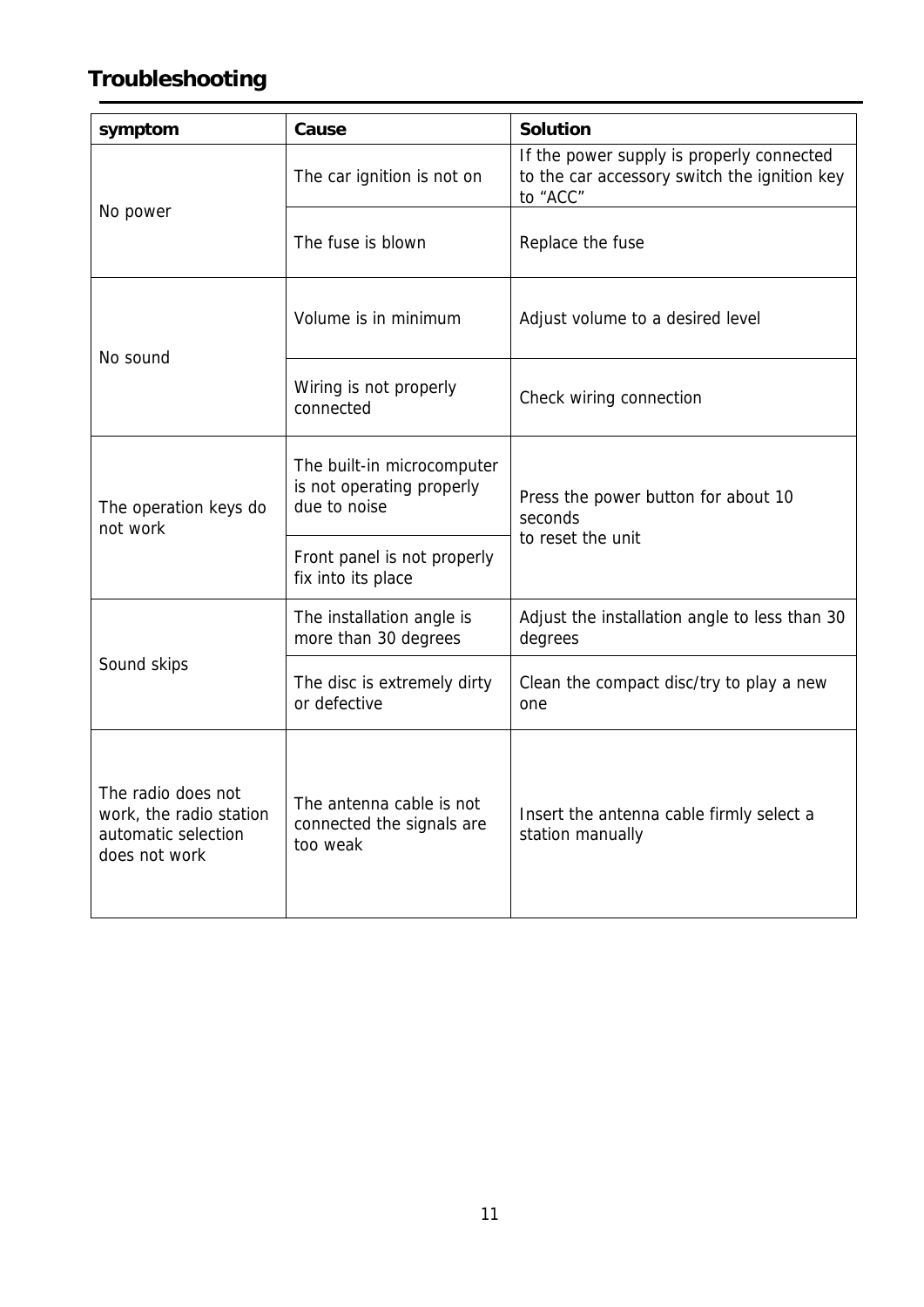# **Troubleshooting**

| symptom                                                                               | Cause                                                                   | Solution                                                                                              |  |
|---------------------------------------------------------------------------------------|-------------------------------------------------------------------------|-------------------------------------------------------------------------------------------------------|--|
|                                                                                       | The car ignition is not on                                              | If the power supply is properly connected<br>to the car accessory switch the ignition key<br>to "ACC" |  |
| No power                                                                              | The fuse is blown                                                       | Replace the fuse                                                                                      |  |
| No sound                                                                              | Volume is in minimum                                                    | Adjust volume to a desired level                                                                      |  |
|                                                                                       | Wiring is not properly<br>connected                                     | Check wiring connection                                                                               |  |
| The operation keys do<br>not work                                                     | The built-in microcomputer<br>is not operating properly<br>due to noise | Press the power button for about 10<br>seconds                                                        |  |
|                                                                                       | Front panel is not properly<br>fix into its place                       | to reset the unit                                                                                     |  |
|                                                                                       | The installation angle is<br>more than 30 degrees                       | Adjust the installation angle to less than 30<br>degrees                                              |  |
| Sound skips                                                                           | The disc is extremely dirty<br>or defective                             | Clean the compact disc/try to play a new<br>one                                                       |  |
| The radio does not<br>work, the radio station<br>automatic selection<br>does not work | The antenna cable is not<br>connected the signals are<br>too weak       | Insert the antenna cable firmly select a<br>station manually                                          |  |